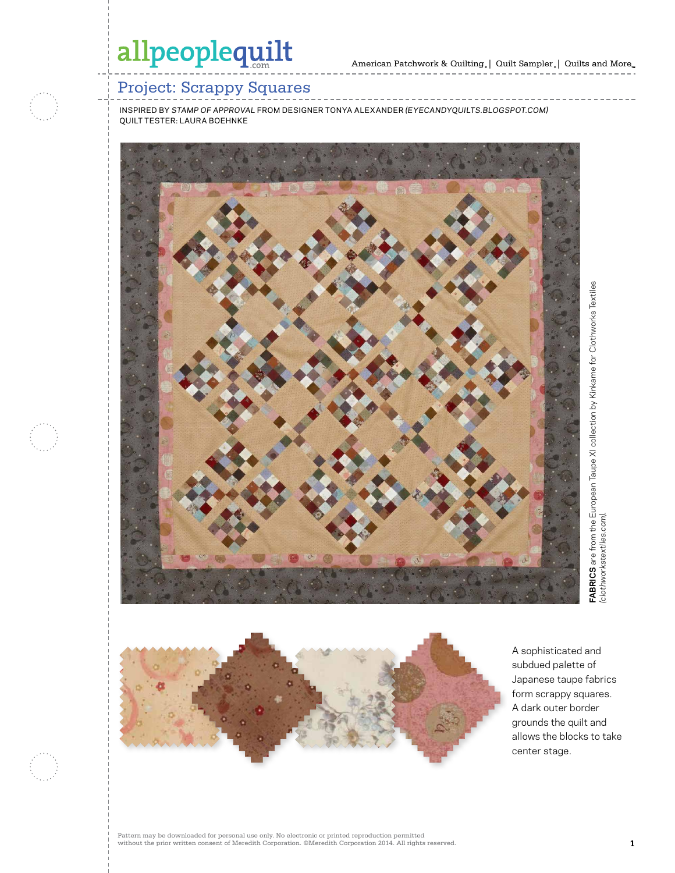

## Project: Scrappy Squares

inspired by *stamp of approval* from designer tonya alexander *(eyecandyquilts.blogspot.com)* quilt tester: laura boehnke





A sophisticated and subdued palette of Japanese taupe fabrics form scrappy squares. A dark outer border grounds the quilt and allows the blocks to take center stage.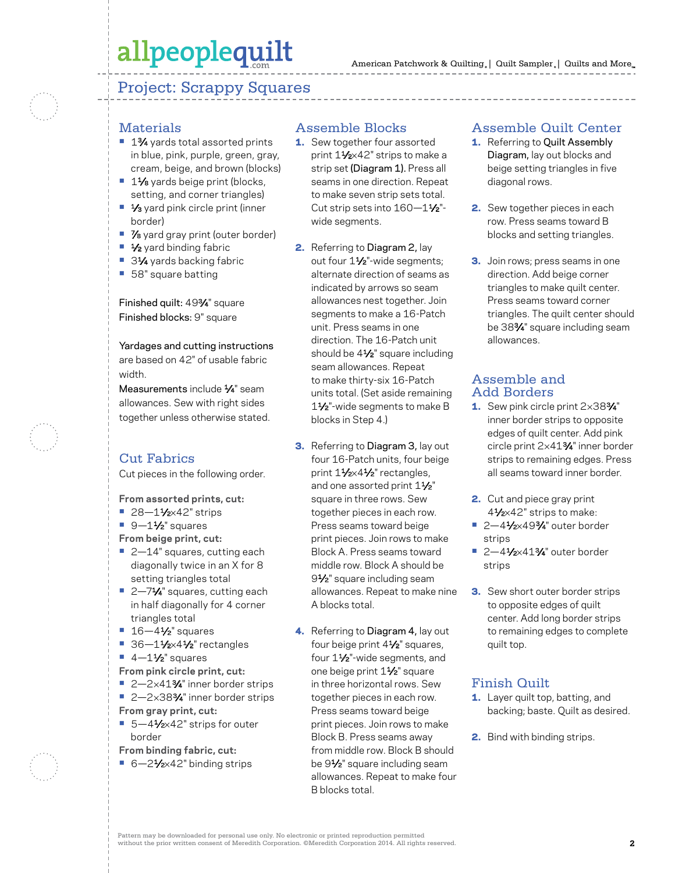## allpeoplequilt

### Project: Scrappy Squares

## **Materials**

- 1<sup>3</sup>⁄4 yards total assorted prints in blue, pink, purple, green, gray, cream, beige, and brown (blocks)
- 11⁄8 yards beige print (blocks, setting, and corner triangles)
- 1⁄3 yard pink circle print (inner border)
- **•** 7⁄8 yard gray print (outer border)
- **•** 1⁄2 yard binding fabric
- 31⁄4 yards backing fabric
- **•** 58" square batting

Finished quilt: 493⁄4" square Finished blocks: 9" square

Yardages and cutting instructions are based on 42" of usable fabric width.

Measurements include 1/4" seam allowances. Sew with right sides together unless otherwise stated.

### Cut Fabrics

Cut pieces in the following order.

**From assorted prints, cut:**

- 28–11⁄<sub>2×42</sub>" strips
- 9-1½<sup>"</sup> squares

**From beige print, cut:**

- **•** 2—14" squares, cutting each diagonally twice in an X for 8 setting triangles total
- 2-71⁄4" squares, cutting each in half diagonally for 4 corner triangles total
- **•** 16—41⁄2" squares
- 36-11⁄2×41⁄2" rectangles
- **•** 4-11/<sub>2</sub>" squares
- **From pink circle print, cut:**
- 2-2×41<sup>3</sup>/4" inner border strips
- 2-2×38<sup>3</sup>/4" inner border strips **From gray print, cut:**
- 5-41⁄<sub>2×42</sub>" strips for outer border
- **From binding fabric, cut:**
- 6-21⁄2×42" binding strips

#### Assemble Blocks

- 1. Sew together four assorted print 11⁄2×42" strips to make a strip set (Diagram 1). Press all seams in one direction. Repeat to make seven strip sets total. Cut strip sets into 160-11/2"wide segments.
- 2. Referring to Diagram 2, lay out four 11/<sub>2</sub>"-wide segments; alternate direction of seams as indicated by arrows so seam allowances nest together. Join segments to make a 16-Patch unit. Press seams in one direction. The 16-Patch unit should be 4<sup>1/2"</sup> square including seam allowances. Repeat to make thirty-six 16-Patch units total. (Set aside remaining 11⁄2"-wide segments to make B blocks in Step 4.)
- **3.** Referring to Diagram 3, lay out four 16-Patch units, four beige print 11/2×41/2" rectangles, and one assorted print  $1\frac{1}{2}$ " square in three rows. Sew together pieces in each row. Press seams toward beige print pieces. Join rows to make Block A. Press seams toward middle row. Block A should be 9<sup>1</sup>/<sub>2</sub>" square including seam allowances. Repeat to make nine A blocks total.
- 4. Referring to Diagram 4, lay out four beige print 4<sup>1/2"</sup> squares, four 1<sup>1/2"-</sup>wide segments, and one beige print 1<sup>1/2"</sup> square in three horizontal rows. Sew together pieces in each row. Press seams toward beige print pieces. Join rows to make Block B. Press seams away from middle row. Block B should be 91⁄2" square including seam allowances. Repeat to make four B blocks total.

#### Assemble Quilt Center

- 1. Referring to Quilt Assembly Diagram, lay out blocks and beige setting triangles in five diagonal rows.
- 2. Sew together pieces in each row. Press seams toward B blocks and setting triangles.
- **3.** Join rows; press seams in one direction. Add beige corner triangles to make quilt center. Press seams toward corner triangles. The quilt center should be 383⁄4" square including seam allowances.

#### Assemble and Add Borders

- 1. Sew pink circle print 2×383/4" inner border strips to opposite edges of quilt center. Add pink circle print 2×413⁄4" inner border strips to remaining edges. Press all seams toward inner border.
- 2. Cut and piece gray print 41⁄2×42" strips to make:
- **•** 2—41⁄2×493⁄4" outer border strips
- **•** 2—41⁄2×413⁄4" outer border strips
- **3.** Sew short outer border strips to opposite edges of quilt center. Add long border strips to remaining edges to complete quilt top.

#### Finish Quilt

- 1. Layer quilt top, batting, and backing; baste. Quilt as desired.
- 2. Bind with binding strips.

Pattern may be downloaded for personal use only. No electronic or printed reproduction permitted without the prior written consent of Meredith Corporation. ©Meredith Corporation 2014. All rights reserved. **2**